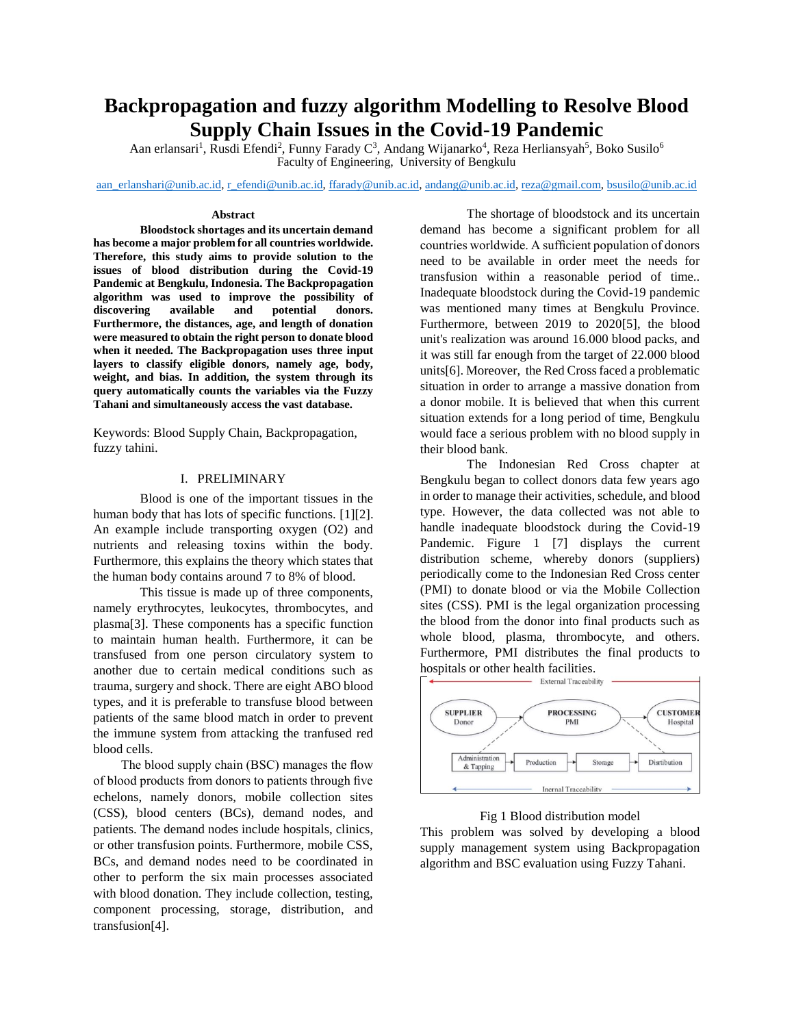# **Backpropagation and fuzzy algorithm Modelling to Resolve Blood Supply Chain Issues in the Covid-19 Pandemic**

Aan erlansari<sup>1</sup>, Rusdi Efendi<sup>2</sup>, Funny Farady C<sup>3</sup>, Andang Wijanarko<sup>4</sup>, Reza Herliansyah<sup>5</sup>, Boko Susilo<sup>6</sup> Faculty of Engineering, University of Bengkulu

[aan\\_erlanshari@unib.ac.id,](mailto:aan_erlanshari@unib.ac.id) [r\\_efendi@unib.ac.id,](mailto:r_efendi@unib.ac.id) [ffarady@unib.ac.id,](mailto:ffarady@unib.ac.id) [andang@unib.ac.id,](mailto:andang@unib.ac.id) [reza@gmail.com,](mailto:reza@gmail.com) [bsusilo@unib.ac.id](mailto:bsusilo@unib.ac.id)

#### **Abstract**

**Bloodstock shortages and its uncertain demand has become a major problem for all countries worldwide. Therefore, this study aims to provide solution to the issues of blood distribution during the Covid-19 Pandemic at Bengkulu, Indonesia. The Backpropagation algorithm was used to improve the possibility of discovering available and potential donors. Furthermore, the distances, age, and length of donation were measured to obtain the right person to donate blood when it needed. The Backpropagation uses three input layers to classify eligible donors, namely age, body, weight, and bias. In addition, the system through its query automatically counts the variables via the Fuzzy Tahani and simultaneously access the vast database.** 

Keywords: Blood Supply Chain, Backpropagation, fuzzy tahini.

# I. PRELIMINARY

Blood is one of the important tissues in the human body that has lots of specific functions. [1][2]. An example include transporting oxygen (O2) and nutrients and releasing toxins within the body. Furthermore, this explains the theory which states that the human body contains around 7 to 8% of blood.

This tissue is made up of three components, namely erythrocytes, leukocytes, thrombocytes, and plasma[3]. These components has a specific function to maintain human health. Furthermore, it can be transfused from one person circulatory system to another due to certain medical conditions such as trauma, surgery and shock. There are eight ABO blood types, and it is preferable to transfuse blood between patients of the same blood match in order to prevent the immune system from attacking the tranfused red blood cells.

The blood supply chain (BSC) manages the flow of blood products from donors to patients through five echelons, namely donors, mobile collection sites (CSS), blood centers (BCs), demand nodes, and patients. The demand nodes include hospitals, clinics, or other transfusion points. Furthermore, mobile CSS, BCs, and demand nodes need to be coordinated in other to perform the six main processes associated with blood donation. They include collection, testing, component processing, storage, distribution, and transfusion[4].

The shortage of bloodstock and its uncertain demand has become a significant problem for all countries worldwide. A sufficient population of donors need to be available in order meet the needs for transfusion within a reasonable period of time.. Inadequate bloodstock during the Covid-19 pandemic was mentioned many times at Bengkulu Province. Furthermore, between 2019 to 2020[5], the blood unit's realization was around 16.000 blood packs, and it was still far enough from the target of 22.000 blood units[6]. Moreover, the Red Cross faced a problematic situation in order to arrange a massive donation from a donor mobile. It is believed that when this current situation extends for a long period of time, Bengkulu would face a serious problem with no blood supply in their blood bank.

The Indonesian Red Cross chapter at Bengkulu began to collect donors data few years ago in order to manage their activities, schedule, and blood type. However, the data collected was not able to handle inadequate bloodstock during the Covid-19 Pandemic. Figure 1 [7] displays the current distribution scheme, whereby donors (suppliers) periodically come to the Indonesian Red Cross center (PMI) to donate blood or via the Mobile Collection sites (CSS). PMI is the legal organization processing the blood from the donor into final products such as whole blood, plasma, thrombocyte, and others. Furthermore, PMI distributes the final products to hospitals or other health facilities.



#### Fig 1 Blood distribution model

This problem was solved by developing a blood supply management system using Backpropagation algorithm and BSC evaluation using Fuzzy Tahani.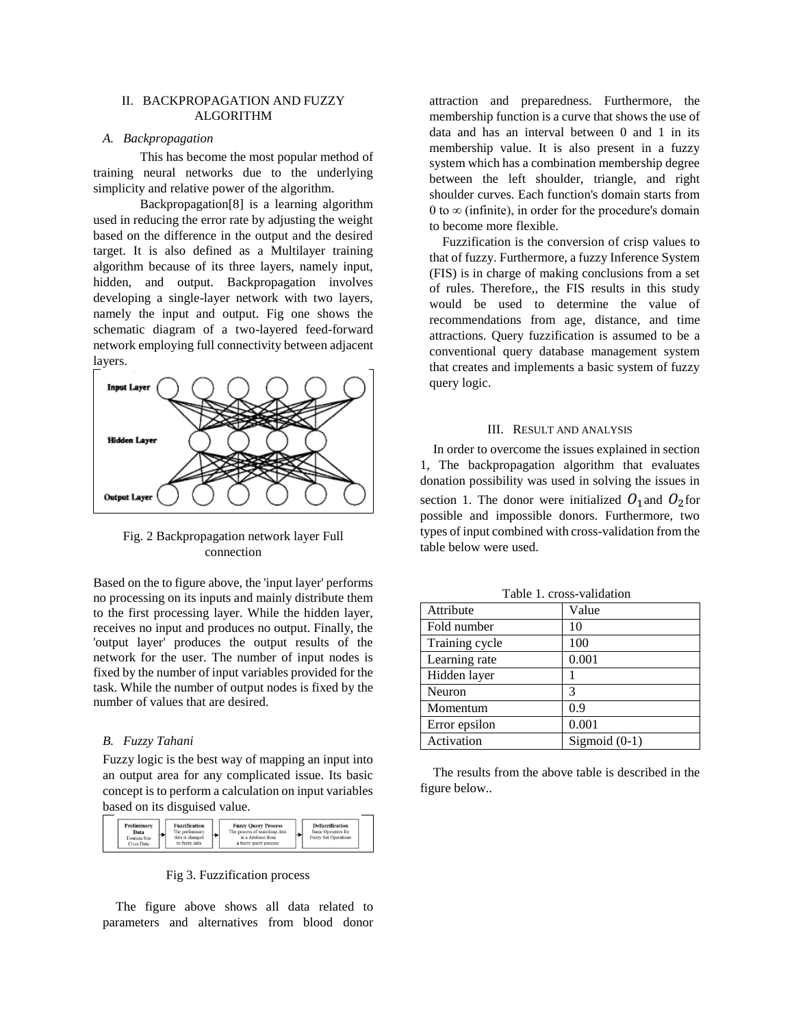# II. BACKPROPAGATION AND FUZZY ALGORITHM

# *A. Backpropagation*

This has become the most popular method of training neural networks due to the underlying simplicity and relative power of the algorithm.

Backpropagation[8] is a learning algorithm used in reducing the error rate by adjusting the weight based on the difference in the output and the desired target. It is also defined as a Multilayer training algorithm because of its three layers, namely input, hidden, and output. Backpropagation involves developing a single-layer network with two layers, namely the input and output. Fig one shows the schematic diagram of a two-layered feed-forward network employing full connectivity between adjacent layers.



Fig. 2 Backpropagation network layer Full connection

Based on the to figure above, the 'input layer' performs no processing on its inputs and mainly distribute them to the first processing layer. While the hidden layer, receives no input and produces no output. Finally, the 'output layer' produces the output results of the network for the user. The number of input nodes is fixed by the number of input variables provided for the task. While the number of output nodes is fixed by the number of values that are desired.

## *B. Fuzzy Tahani*

Fuzzy logic is the best way of mapping an input into an output area for any complicated issue. Its basic concept is to perform a calculation on input variables based on its disguised value.

| Preliminary<br>Data<br><b>Tourism Site</b><br><b>Crisp Data</b> | <b>Fuzzification</b><br>The preliminary<br>data is changed.<br>to fuzzy data |  | <b>Fuzzy Query Process</b><br>The process of searching data<br>in a database from<br>a fuzzy query process |  | <b>Defuzzification</b><br><b>Basic Operators for</b><br><b>Fuzzy Set Operations</b> |
|-----------------------------------------------------------------|------------------------------------------------------------------------------|--|------------------------------------------------------------------------------------------------------------|--|-------------------------------------------------------------------------------------|
|-----------------------------------------------------------------|------------------------------------------------------------------------------|--|------------------------------------------------------------------------------------------------------------|--|-------------------------------------------------------------------------------------|

#### Fig 3. Fuzzification process

The figure above shows all data related to parameters and alternatives from blood donor attraction and preparedness. Furthermore, the membership function is a curve that shows the use of data and has an interval between 0 and 1 in its membership value. It is also present in a fuzzy system which has a combination membership degree between the left shoulder, triangle, and right shoulder curves. Each function's domain starts from 0 to  $\infty$  (infinite), in order for the procedure's domain to become more flexible.

Fuzzification is the conversion of crisp values to that of fuzzy. Furthermore, a fuzzy Inference System (FIS) is in charge of making conclusions from a set of rules. Therefore,, the FIS results in this study would be used to determine the value of recommendations from age, distance, and time attractions. Query fuzzification is assumed to be a conventional query database management system that creates and implements a basic system of fuzzy query logic.

## III. RESULT AND ANALYSIS

In order to overcome the issues explained in section 1, The backpropagation algorithm that evaluates donation possibility was used in solving the issues in section 1. The donor were initialized  $O_1$  and  $O_2$  for possible and impossible donors. Furthermore, two types of input combined with cross-validation from the table below were used.

| Attribute      | Value           |
|----------------|-----------------|
| Fold number    | 10              |
| Training cycle | 100             |
| Learning rate  | 0.001           |
| Hidden layer   |                 |
| Neuron         | 3               |
| Momentum       | 0.9             |
| Error epsilon  | 0.001           |
| Activation     | Sigmoid $(0-1)$ |

Table 1. cross-validation

The results from the above table is described in the figure below..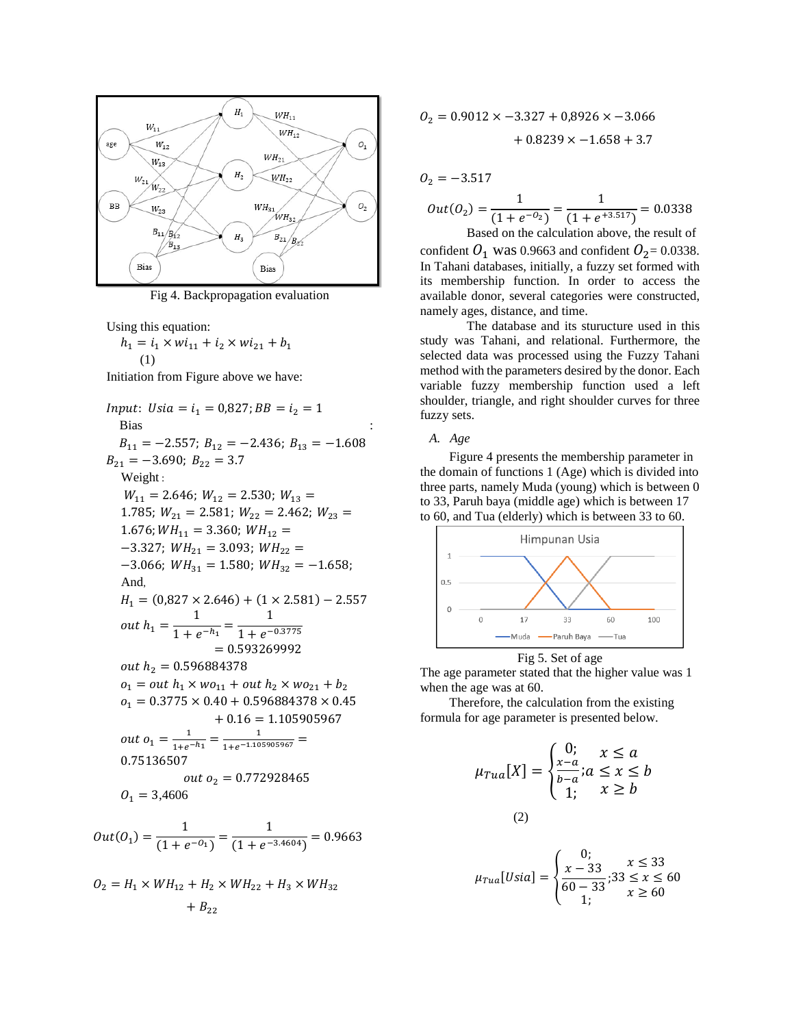

Fig 4. Backpropagation evaluation

Using this equation:

 $h_1 = i_1 \times wi_{11} + i_2 \times wi_{21} + b_1$  $(1)$ 

Initiation from Figure above we have:

Input: 
$$
Usia = i_1 = 0,827; BB = i_2 = 1
$$
  
\nBias  
\n $B_{11} = -2.557; B_{12} = -2.436; B_{13} = -1.608$   
\n $B_{21} = -3.690; B_{22} = 3.7$   
\nWeight:  
\n $W_{11} = 2.646; W_{12} = 2.530; W_{13} =$   
\n1.785;  $W_{21} = 2.581; W_{22} = 2.462; W_{23} =$   
\n1.676;  $WH_{11} = 3.360; WH_{12} =$   
\n $-3.327; WH_{21} = 3.093; WH_{22} =$   
\n $-3.066; WH_{31} = 1.580; WH_{32} = -1.658;$   
\nAnd,  
\n $H_1 = (0,827 \times 2.646) + (1 \times 2.581) - 2.557$   
\nout  $h_1 = \frac{1}{1 + e^{-h_1}} = \frac{1}{1 + e^{-0.3775}}$   
\n $= 0.593269992$   
\nout  $h_2 = 0.596884378$   
\n $o_1 = out h_1 \times w o_{11} + out h_2 \times w o_{21} + b_2$   
\n $o_1 = 0.3775 \times 0.40 + 0.596884378 \times 0.45 + 0.16 = 1.105905967$   
\nout  $o_1 = \frac{1}{1 + e^{-h_1}} = \frac{1}{1 + e^{-1.105905967}} =$   
\n0.75136507  
\nout  $o_2 = 0.772928465$   
\n $o_1 = 3,4606$   
\n $Out(0_1) = \frac{1}{(1 + e^{-0_1})} = \frac{1}{(1 + e^{-3.4604})} = 0.9663$ 

$$
\begin{aligned} O_2 = H_1 \times WH_{12} + H_2 \times WH_{22} + H_3 \times WH_{32} \\ + B_{22} \end{aligned}
$$

$$
O_2 = 0.9012 \times -3.327 + 0.8926 \times -3.066 + 0.8239 \times -1.658 + 3.7
$$

$$
O_2 = -3.517
$$
  
Out(O<sub>2</sub>) =  $\frac{1}{(1 + e^{-O_2})} = \frac{1}{(1 + e^{+3.517})} = 0.0338$ 

Based on the calculation above, the result of confident  $O_1$  was 0.9663 and confident  $O_2$  = 0.0338. In Tahani databases, initially, a fuzzy set formed with its membership function. In order to access the available donor, several categories were constructed, namely ages, distance, and time.

The database and its sturucture used in this study was Tahani, and relational. Furthermore, the selected data was processed using the Fuzzy Tahani method with the parameters desired by the donor. Each variable fuzzy membership function used a left shoulder, triangle, and right shoulder curves for three fuzzy sets.

A. Age

Figure 4 presents the membership parameter in the domain of functions 1 (Age) which is divided into three parts, namely Muda (young) which is between 0 to 33, Paruh baya (middle age) which is between 17 to 60, and Tua (elderly) which is between 33 to 60.



Fig 5. Set of age

The age parameter stated that the higher value was 1 when the age was at 60.

Therefore, the calculation from the existing formula for age parameter is presented below.

$$
\mu_{Tua}[X] = \begin{cases} 0; & x \le a \\ \frac{x-a}{b-a}; a \le x \le b \\ 1; & x \ge b \end{cases}
$$
  
(2)

$$
\mu_{Tua}[Usia] = \begin{cases} 0; & x \le 33\\ \frac{x - 33}{60 - 33}; 33 \le x \le 60\\ 1; & x \ge 60 \end{cases}
$$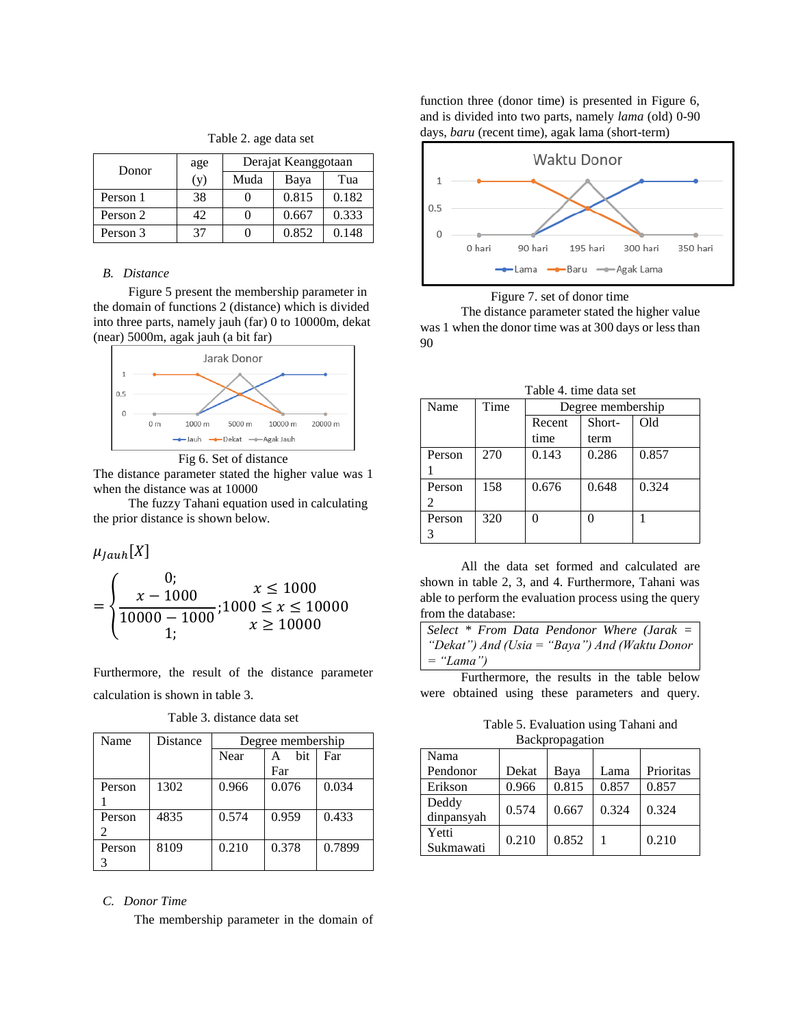| Donor    | age | Derajat Keanggotaan |       |       |
|----------|-----|---------------------|-------|-------|
|          | (y) | Muda                | Baya  | Tua   |
| Person 1 | 38  |                     | 0.815 | 0.182 |
| Person 2 | 42. |                     | 0.667 | 0.333 |
| Person 3 | 37  |                     | 0.852 | 0.148 |

#### *B. Distance*

Figure 5 present the membership parameter in the domain of functions 2 (distance) which is divided into three parts, namely jauh (far) 0 to 10000m, dekat (near) 5000m, agak jauh (a bit far)



Fig 6. Set of distance

The distance parameter stated the higher value was 1 when the distance was at 10000

The fuzzy Tahani equation used in calculating the prior distance is shown below.

 $\mu_{Jauh}[X]$ 

$$
= \begin{cases} 0; & x \le 1000 \\ \frac{x - 1000}{10000 - 1000}; 1000 \le x \le 10000 \\ 1; & x \ge 10000 \end{cases}
$$

Furthermore, the result of the distance parameter calculation is shown in table 3.

Table 3. distance data set

| Name   | <b>Distance</b> | Degree membership |          |        |  |
|--------|-----------------|-------------------|----------|--------|--|
|        |                 | Near              | bit<br>A | Far    |  |
|        |                 |                   | Far      |        |  |
| Person | 1302            | 0.966             | 0.076    | 0.034  |  |
|        |                 |                   |          |        |  |
| Person | 4835            | 0.574             | 0.959    | 0.433  |  |
|        |                 |                   |          |        |  |
| Person | 8109            | 0.210             | 0.378    | 0.7899 |  |
|        |                 |                   |          |        |  |

## *C. Donor Time*

The membership parameter in the domain of

function three (donor time) is presented in Figure 6, and is divided into two parts, namely *lama* (old) 0-90 days, *baru* (recent time), agak lama (short-term)



Figure 7. set of donor time

The distance parameter stated the higher value was 1 when the donor time was at 300 days or less than 90

| Table 4, time data set |      |                   |       |       |  |  |
|------------------------|------|-------------------|-------|-------|--|--|
| Name                   | Time | Degree membership |       |       |  |  |
|                        |      | Short-<br>Recent  |       | Old   |  |  |
|                        |      | time              | term  |       |  |  |
| Person                 | 270  | 0.143             | 0.286 | 0.857 |  |  |
|                        |      |                   |       |       |  |  |
| Person                 | 158  | 0.676             | 0.648 | 0.324 |  |  |
|                        |      |                   |       |       |  |  |
| Person                 | 320  |                   |       |       |  |  |
| 3                      |      |                   |       |       |  |  |

All the data set formed and calculated are shown in table 2, 3, and 4. Furthermore, Tahani was able to perform the evaluation process using the query from the database:

*Select \* From Data Pendonor Where (Jarak = "Dekat") And (Usia = "Baya") And (Waktu Donor = "Lama")*

Furthermore, the results in the table below were obtained using these parameters and query.

Table 5. Evaluation using Tahani and **Backpropagation** 

| $B^{\mu\nu}$        |       |       |       |           |  |  |
|---------------------|-------|-------|-------|-----------|--|--|
| Nama                |       |       |       |           |  |  |
| Pendonor            | Dekat | Baya  | Lama  | Prioritas |  |  |
| Erikson             | 0.966 | 0.815 | 0.857 | 0.857     |  |  |
| Deddy<br>dinpansyah | 0.574 | 0.667 | 0.324 | 0.324     |  |  |
| Yetti<br>Sukmawati  | 0.210 | 0.852 |       | 0.210     |  |  |